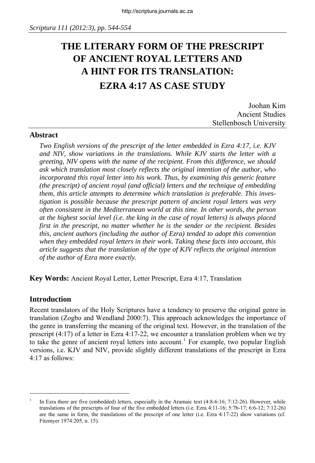# **THE LITERARY FORM OF THE PRESCRIPT OF ANCIENT ROYAL LETTERS AND A HINT FOR ITS TRANSLATION: EZRA 4:17 AS CASE STUDY**

Joohan Kim Ancient Studies Stellenbosch University

#### **Abstract**

*Two English versions of the prescript of the letter embedded in Ezra 4:17, i.e. KJV and NIV, show variations in the translations. While KJV starts the letter with a greeting, NIV opens with the name of the recipient. From this difference, we should ask which translation most closely reflects the original intention of the author, who incorporated this royal letter into his work. Thus, by examining this generic feature (the prescript) of ancient royal (and official) letters and the technique of embedding them, this article attempts to determine which translation is preferable. This investigation is possible because the prescript pattern of ancient royal letters was very often consistent in the Mediterranean world at this time. In other words, the person at the highest social level (i.e. the king in the case of royal letters) is always placed first in the prescript, no matter whether he is the sender or the recipient. Besides this, ancient authors (including the author of Ezra) tended to adopt this convention when they embedded royal letters in their work. Taking these facts into account, this article suggests that the translation of the type of KJV reflects the original intention of the author of Ezra more exactly.* 

**Key Words:** Ancient Royal Letter, Letter Prescript, Ezra 4:17, Translation

#### **Introduction**

j

Recent translators of the Holy Scriptures have a tendency to preserve the original genre in translation (Zogbo and Wendland 2000:7). This approach acknowledges the importance of the genre in transferring the meaning of the original text. However, in the translation of the prescript (4:17) of a letter in Ezra 4:17-22, we encounter a translation problem when we try to take the genre of ancient royal letters into account.<sup>[1](#page-0-0)</sup> For example, two popular English versions, i.e. KJV and NIV, provide slightly different translations of the prescript in Ezra 4:17 as follows:

<span id="page-0-0"></span><sup>1</sup> In Ezra there are five (embedded) letters, especially in the Aramaic text (4:8-6:16; 7:12-26). However, while translations of the prescripts of four of the five embedded letters (i.e. Ezra 4:11-16; 5:7b-17; 6:6-12; 7:12-26) are the same in form, the translations of the prescript of one letter (i.e. Ezra 4:17-22) show variations (cf. Fitzmyer 1974:205, n. 15).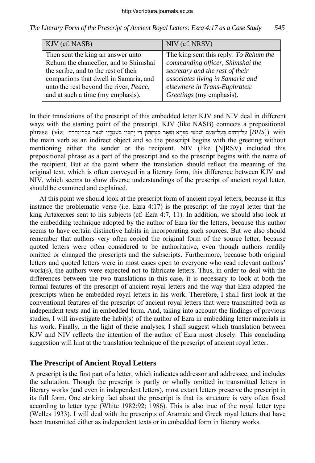|  |  | The Literary Form of the Prescript of Ancient Royal Letters: Ezra 4:17 as a Case Study |  | 545 |
|--|--|----------------------------------------------------------------------------------------|--|-----|
|  |  |                                                                                        |  |     |

| KJV (cf. NASB)                         | NIV (cf. NRSV)                         |
|----------------------------------------|----------------------------------------|
| Then sent the king an answer unto      | The king sent this reply: To Rehum the |
| Rehum the chancellor, and to Shimshai  | commanding officer, Shimshai the       |
| the scribe, and to the rest of their   | secretary and the rest of their        |
| companions that dwell in Samaria, and  | associates living in Samaria and       |
| unto the rest beyond the river, Peace, | elsewhere in Trans-Euphrates:          |
| and at such a time (my emphasis).      | Greetings (my emphasis).               |

In their translations of the prescript of this embedded letter KJV and NIV deal in different ways with the starting point of the prescript. KJV (like NASB) connects a prepositional phrase (viz. שְׁאָר עֲבַר־נַהֲרָה בְּעֵל־מִעֵם וְשִׁמְשֵׁי סָפְרָא וּשְׁאָר כְּנָוְתְהוֹן דִּי יָתְבִין בְּשָׁמְרֵין וּשְׁאָר עֲבַר־נַהֲרָה [*BHS*]) with the main verb as an indirect object and so the prescript begins with the greeting without mentioning either the sender or the recipient. NIV (like [N]RSV) included this prepositional phrase as a part of the prescript and so the prescript begins with the name of the recipient. But at the point where the translation should reflect the meaning of the original text, which is often conveyed in a literary form, this difference between KJV and NIV, which seems to show diverse understandings of the prescript of ancient royal letter, should be examined and explained.

At this point we should look at the prescript form of ancient royal letters, because in this instance the problematic verse (i.e. Ezra 4:17) is the prescript of the royal letter that the king Artaxerxes sent to his subjects (cf. Ezra 4:7, 11). In addition, we should also look at the embedding technique adopted by the author of Ezra for the letters, because this author seems to have certain distinctive habits in incorporating such sources. But we also should remember that authors very often copied the original form of the source letter, because quoted letters were often considered to be authoritative, even though authors readily omitted or changed the prescripts and the subscripts. Furthermore, because both original letters and quoted letters were in most cases open to everyone who read relevant authors' work(s), the authors were expected not to fabricate letters. Thus, in order to deal with the differences between the two translations in this case, it is necessary to look at both the formal features of the prescript of ancient royal letters and the way that Ezra adapted the prescripts when he embedded royal letters in his work. Therefore, I shall first look at the conventional features of the prescript of ancient royal letters that were transmitted both as independent texts and in embedded form. And, taking into account the findings of previous studies, I will investigate the habit(s) of the author of Ezra in embedding letter materials in his work. Finally, in the light of these analyses, I shall suggest which translation between KJV and NIV reflects the intention of the author of Ezra most closely. This concluding suggestion will hint at the translation technique of the prescript of ancient royal letter.

### **The Prescript of Ancient Royal Letters**

A prescript is the first part of a letter, which indicates addressor and addressee, and includes the salutation. Though the prescript is partly or wholly omitted in transmitted letters in literary works (and even in independent letters), most extant letters preserve the prescript in its full form. One striking fact about the prescript is that its structure is very often fixed according to letter type (White 1982:92; 1986). This is also true of the royal letter type (Welles 1933). I will deal with the prescripts of Aramaic and Greek royal letters that have been transmitted either as independent texts or in embedded form in literary works.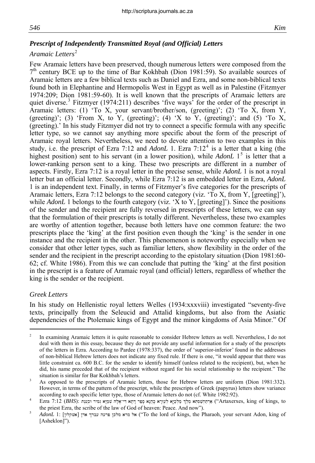### *Prescript of Independently Transmitted Royal (and Official) Letters*

#### *Aramaic Letters*[2](#page-2-0)

Few Aramaic letters have been preserved, though numerous letters were composed from the  $7<sup>th</sup>$  century BCE up to the time of Bar Kokhbah (Dion 1981:59). So available sources of Aramaic letters are a few biblical texts such as Daniel and Ezra, and some non-biblical texts found both in Elephantine and Hermopolis West in Egypt as well as in Palestine (Fitzmyer 1974:209; Dion 1981:59-60). It is well known that the prescripts of Aramaic letters are quiet diverse.<sup>[3](#page-2-1)</sup> Fitzmyer (1974:211) describes 'five ways' for the order of the prescript in Aramaic letters: (1) 'To X, your servant/brother/son, (greeting)'; (2) 'To X, from Y, (greeting)'; (3) 'From X, to Y, (greeting)'; (4) 'X to Y, (greeting)'; and (5) 'To X, (greeting).' In his study Fitzmyer did not try to connect a specific formula with any specific letter type, so we cannot say anything more specific about the form of the prescript of Aramaic royal letters. Nevertheless, we need to devote attention to two examples in this study, i.e. the prescript of Ezra 7:12 and *AdonL* 1. Ezra 7:12<sup>[4](#page-2-2)</sup> is a letter that a king (the highest position) sent to his servant (in a lower position), while *AdonL* 1<sup>[5](#page-2-3)</sup> is letter that a lower-ranking person sent to a king. These two prescripts are different in a number of aspects. Firstly, Ezra 7:12 is a royal letter in the precise sense, while *AdonL* 1 is not a royal letter but an official letter. Secondly, while Ezra 7:12 is an embedded letter in Ezra, *AdonL*  1 is an independent text. Finally, in terms of Fitzmyer's five categories for the prescripts of Aramaic letters, Ezra 7:12 belongs to the second category (viz. 'To X, from Y, [greeting]'), while *AdonL* 1 belongs to the fourth category (viz. 'X to Y, [greeting]'). Since the positions of the sender and the recipient are fully reversed in prescripts of these letters, we can say that the formulation of their prescripts is totally different. Nevertheless, these two examples are worthy of attention together, because both letters have one common feature: the two prescripts place the 'king' at the first position even though the 'king' is the sender in one instance and the recipient in the other. This phenomenon is noteworthy especially when we consider that other letter types, such as familiar letters, show flexibility in the order of the sender and the recipient in the prescript according to the epistolary situation (Dion 1981:60- 62; cf. White 1986). From this we can conclude that putting the 'king' at the first position in the prescript is a feature of Aramaic royal (and official) letters, regardless of whether the king is the sender or the recipient.

#### *Greek Letters*

-

In his study on Hellenistic royal letters Welles (1934:xxxviii) investigated "seventy-five texts, principally from the Seleucid and Attalid kingdoms, but also from the Asiatic dependencies of the Ptolemaic kings of Egypt and the minor kingdoms of Asia Minor." Of

<span id="page-2-0"></span><sup>2</sup> In examining Aramaic letters it is quite reasonable to consider Hebrew letters as well. Nevertheless, I do not deal with them in this essay, because they do not provide any useful information for a study of the prescripts of the letters in Ezra. According to Pardee (1978:337), the order of 'superior-inferior' found in the addresses of non-biblical Hebrew letters does not indicate any fixed rule. If there is one, "it would appear that there was little constraint ca. 600 B.C. for the sender to identify himself (unless related to the recipient), but, when he did, his name preceded that of the recipient without regard for his social relationship to the recipient." The situation is similar for Bar Kokhbah's letters.

<span id="page-2-1"></span>As opposed to the prescripts of Aramaic letters, those for Hebrew letters are uniform (Dion 1981:332). However, in terms of the pattern of the prescript, while the prescripts of Greek (papyrus) letters show variance according to each specific letter type, those of Aramaic letters do not (cf. White 1982:92).

<span id="page-2-2"></span>Ezra 7:12 (*BHS*): אויי אַמְיָא גְּמִיר וּכְעָנָא (לְעֲדָא לְעָזְרָא לְעָזָרָא הָיִל "Artaxerxes, king of kings, to the priest Ezra, the scribe of the law of God of heaven: Peace. And now").

<span id="page-2-3"></span>*AdonL* 1: [אל מרא מלכן פרעה עברך אדן | אשקלון] או ("To the lord of kings, the Pharaoh, your servant Adon, king of [Asheklon]").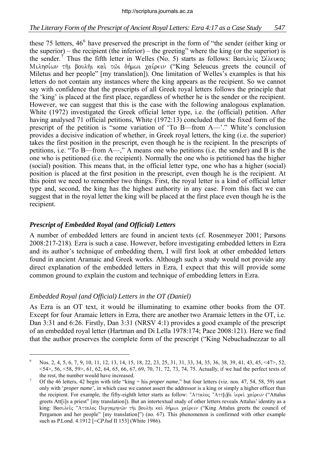#### *The Literary Form of the Prescript of Ancient Royal Letters: Ezra 4:17 as a Case Study 547*

these 75 letters, 4[6](#page-3-0)<sup>6</sup> have preserved the prescript in the form of "the sender (either king or the superior) – the recipient (the inferior) – the greeting" where the king (or the superior) is the sender.<sup>[7](#page-3-1)</sup> Thus the fifth letter in Welles (No. 5) starts as follows: Baouleus  $\Sigma \epsilon \lambda \epsilon \nu \kappa o \varsigma$ Mιλησίων τηι βουληι και τωι δήμωι χαίρειν ("King Seleucus greets the council of Miletus and her people" [my translation]). One limitation of Welles's examples is that his letters do not contain any instances where the king appears as the recipient. So we cannot say with confidence that the prescripts of all Greek royal letters follows the principle that the 'king' is placed at the first place, regardless of whether he is the sender or the recipient. However, we can suggest that this is the case with the following analogous explanation. White (1972) investigated the Greek official letter type, i.e. the (official) petition. After having analysed 71 official petitions, White (1972:13) concluded that the fixed form of the prescript of the petition is "some variation of 'To B—from A—'." White's conclusion provides a decisive indication of whether, in Greek royal letters, the king (i.e. the superior) takes the first position in the prescript, even though he is the recipient. In the prescripts of petitions, i.e. "To B—from A—," A means one who petitions (i.e. the sender) and B is the one who is petitioned (i.e. the recipient). Normally the one who is petitioned has the higher (social) position. This means that, in the official letter type, one who has a higher (social) position is placed at the first position in the prescript, even though he is the recipient. At this point we need to remember two things. First, the royal letter is a kind of official letter type and, second, the king has the highest authority in any case. From this fact we can suggest that in the royal letter the king will be placed at the first place even though he is the recipient.

#### *Prescript of Embedded Royal (and Official) Letters*

A number of embedded letters are found in ancient texts (cf. Rosenmeyer 2001; Parsons 2008:217-218). Ezra is such a case. However, before investigating embedded letters in Ezra and its author's technique of embedding them, I will first look at other embedded letters found in ancient Aramaic and Greek works. Although such a study would not provide any direct explanation of the embedded letters in Ezra, I expect that this will provide some common ground to explain the custom and technique of embedding letters in Ezra.

#### *Embedded Royal (and Official) Letters in the OT (Daniel)*

-

As Ezra is an OT text, it would be illuminating to examine other books from the OT. Except for four Aramaic letters in Ezra, there are another two Aramaic letters in the OT, i.e. Dan 3:31 and 6:26. Firstly, Dan 3:31 (NRSV 4:1) provides a good example of the prescript of an embedded royal letter (Hartman and Di Lella 1978:174; Pace 2008:121). Here we find that the author preserves the complete form of the prescript ("King Nebuchadnezzar to all

<span id="page-3-0"></span><sup>6</sup> Nos. 2, 4, 5, 6, 7, 9, 10, 11, 12, 13, 14, 15, 18, 22, 23, 25, 31, 31, 33, 34, 35, 36, 38, 39, 41, 43, 45, <47>, 52,  $54$ ,  $56$ ,  $58$ ,  $59$ ,  $61$ ,  $62$ ,  $64$ ,  $65$ ,  $66$ ,  $67$ ,  $69$ ,  $70$ ,  $71$ ,  $72$ ,  $73$ ,  $74$ ,  $75$ . Actually, if we had the perfect texts of the rest, the number would have increased.

<span id="page-3-1"></span>Of the 46 letters, 42 begin with title "king + his *proper name*," but four letters (viz. nos. 47, 54, 58, 59) start only with '*proper name*', in which case we cannot assert the addressor is a king or simply a higher officer than the recipient. For example, the fifty-eighth letter starts as follow: "Aτταλος "Αττ[ι]δι ίερει χαίρειν ("Attalus greets Att[i]s a priest" [my translation]). But an intertextual study of other letters reveals Attalus' identity as a king: Βασιλεύς "Ατταλος Περγαμηνών τηι βουληι και δήμωι χαίρειν ("King Attalus greets the council of Pergamon and her people" [my translation]") (no. 67). This phenomenon is confirmed with other example such as P.Lond. 4.1912 [=*CPJud* II 153] (White 1986).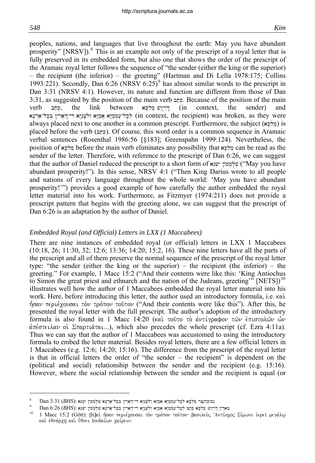-

peoples, nations, and languages that live throughout the earth: May you have abundant prosperity" [NRSV]). $<sup>8</sup>$  $<sup>8</sup>$  $<sup>8</sup>$  This is an example not only of the prescript of a royal letter that is</sup> fully preserved in its embedded form, but also one that shows the order of the prescript of the Aramaic royal letter follows the sequence of "the sender (either the king or the superior) – the recipient (the inferior) – the greeting" (Hartman and Di Lella 1978:175; Collins 1[9](#page-4-1)93:221). Secondly, Dan  $6:26$  (NRSV  $6:25$ )<sup>9</sup> has almost similar words to the prescript in Dan 3:31 (NRSV 4:1). However, its nature and function are different from those of Dan  $3:31$ , as suggested by the position of the main verb  $\Delta$ . Because of the position of the main verb פְּחַב, the link between בְּרְיָיָשׁ מַלְכָּא, the link between בְּחוֹ לכל־עממיא אמיא ולשניא די־דארין בכל־ארעא (in context, the recipient) was broken, as they were always placed next to one another in a common prescript. Furthermore, the subject  $(x \leq k)$  is placed before the verb  $(\epsilon_{n})$ . Of course, this word order is a common sequence in Aramaic verbal sentences (Rosenthal 1986:56 [§183]; Greenspahn 1999:124). Nevertheless, the position of  $\frac{dx}{dx}$  before the main verb eliminates any possibility that  $\frac{dx}{dx}$  can be read as the sender of the letter. Therefore, with reference to the prescript of Dan 6:26, we can suggest that the author of Daniel reduced the prescript to a short form of with with will we you have abundant prosperity!"). In this sense, NRSV 4:1 ("Then King Darius wrote to all people and nations of every language throughout the whole world: 'May you have abundant prosperity!'") provides a good example of how carefully the author embedded the royal letter material into his work. Furthermore, as Fitzmyer (1974:211) does not provide a prescript pattern that begins with the greeting alone, we can suggest that the prescript of Dan 6:26 is an adaptation by the author of Daniel.

#### *Embedded Royal (and Official) Letters in LXX (1 Maccabees)*

There are nine instances of embedded royal (or official) letters in LXX 1 Maccabees (10:18, 26; 11:30, 32; 12:6; 13:36; 14:20; 15:2, 16). These nine letters have all the parts of the prescript and all of them preserve the normal sequence of the prescript of the royal letter type: "the sender (either the king or the superior) – the recipient (the inferior) – the greeting." For example, 1 Macc 15:2 ("And their contents were like this: 'King Antiochus to Simon the great priest and ethnarch and the nation of the Judeans, greeting"  $[NETS]$ <sup>[10](#page-4-2)</sup> illustrates well how the author of 1 Maccabees embedded the royal letter material into his work. Here, before introducing this letter, the author used an introductory formula, i.e.  $\kappa \alpha$ .  $\hat{\eta}$ σαν περιέχουσαι τὸν τρόπον τοῦτον ("And their contents were like this"). After this, he presented the royal letter with the full prescript. The author's adoption of the introductory formula is also found in 1 Macc 14:20 (και τούτο το αντίγραφον των έπιστολων ών  $\alpha\pi\epsilon$  oteilar oi  $\sum$ παρτι $\alpha\tau\alpha\mu$ .), which also precedes the whole prescript (cf. Ezra 4:11a). Thus we can say that the author of 1 Maccabees was accustomed to using the introductory formula to embed the letter material. Besides royal letters, there are a few official letters in 1 Maccabees (e.g. 12:6; 14:20; 15:16). The difference from the prescript of the royal letter is that in official letters the order of "the sender – the recipient" is dependent on the (political and social) relationship between the sender and the recipient (e.g. 15:16). However, where the social relationship between the sender and the recipient is equal (or

<span id="page-4-0"></span><sup>8</sup> Dan 3:31 (*BHS*): ובוכַרְנֵצַר מַלְכָא לְכָל־עַמְמַיָּא אָמַיָּא וִלְשָׁנֵיָא דִּי־רָאַרְין בְּכָל־אַרְעָא שִׁלָּמְכוֹן

<span id="page-4-1"></span><sup>9</sup>  $\mu_{\rm p}^{\rm N}$  . Dan 6:26 (*BHS*): מַאַדְיִן דֶּרְיְיָנָשׁ מַלְלָּא הָמַקְמָיָא אָמָיָא וְלִשְׁנֵיָא הִי־דָאָרִין בְּכָל־אַרְעָא  $\mu_{\rm p}$ וֹ<br>בּארוֹם הַתַּחֲלוֹה הַתְּהֹל בּוֹת הַתְּהֹל בּוֹת הַתְּהֹל בּוֹת הַתְּהֹל בּוֹת

<span id="page-4-2"></span><sup>1</sup> Macc 15:2 (Gött): [Κ]αὶ ἦσαν περιέχουσαι τὸν τρόπον τοῦτον βασιλεὺς Ἀντίοχος Σίμωνι ἱερεῖ μεγάλω και έθνάρχη και έθνει Ιουδαίων χαίρειν.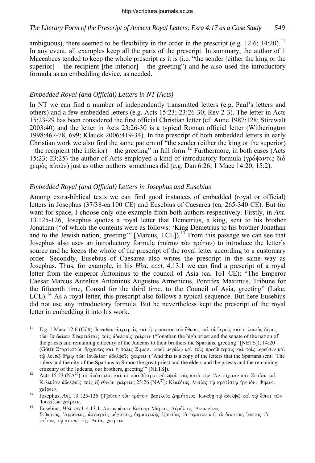ambiguous), there seemed to be flexibility in the order in the prescript (e.g. 12:6; 14:20).<sup>[11](#page-5-0)</sup> In any event, all examples keep all the parts of the prescript. In summary, the author of 1 Maccabees tended to keep the whole prescript as it is (i.e. "the sender [either the king or the superior] – the recipient [the inferior] – the greeting") and he also used the introductory formula as an embedding device, as needed.

### *Embedded Royal (and Official) Letters in NT (Acts)*

-

In NT we can find a number of independently transmitted letters (e.g. Paul's letters and others) and a few embedded letters (e.g. Acts 15:23; 23:26-30; Rev 2-3). The letter in Acts 15:23-29 has been considered the first official Christian letter (cf. Aune 1987:128; Stirewalt 2003:40) and the letter in Acts 23:26-30 is a typical Roman official letter (Witherington 1998:467-78, 699; Klauck 2006:419-34). In the prescript of both embedded letters in early Christian work we also find the same pattern of "the sender (either the king or the superior) – the recipient (the inferior) – the greeting" in full form.<sup>[12](#page-5-1)</sup> Furthermore, in both cases (Acts 15:23; 23:25) the author of Acts employed a kind of introductory formula ( $\gamma \rho \dot{\alpha} \psi \alpha \nu \tau \epsilon \zeta \delta \mu \dot{\alpha}$ χειρὸς αὐτῶν) just as other authors sometimes did (e.g. Dan 6:26; 1 Macc 14:20; 15:2).

### *Embedded Royal (and Official) Letters in Josephus and Eusebius*

Among extra-biblical texts we can find good instances of embedded (royal or official) letters in Josephus (37/38-ca.100 CE) and Eusebius of Caesarea (ca. 265-340 CE). But for want for space, I choose only one example from both authors respectively. Firstly, in *Ant*. 13.125-126, Josephus quotes a royal letter that Demetrius, a king, sent to his brother Jonathan ("of which the contents were as follows: 'King Demetrius to his brother Jonathan and to the Jewish nation, greeting" [Marcus, LCL]).<sup>[13](#page-5-2)</sup> From this passage we can see that Josephus also uses an introductory formula ( $\tau$ o $\tilde{\nu}$ to  $\tau$  $\tilde{\nu}$ ) to introduce the letter's source and he keeps the whole of the prescript of the royal letter according to a customary order. Secondly, Eusebius of Caesarea also writes the prescript in the same way as Josephus. Thus, for example, in his *Hist. eccl.* 4.13.1 we can find a prescript of a royal letter from the emperor Antoninus to the council of Asia (ca. 161 CE): "The Emperor Caesar Marcus Aurelius Antoninus Augustus Armenicus, Pontifex Maximus, Tribune for the fifteenth time, Consul for the third time, to the Council of Asia, greeting" (Lake,  $LCL$ ).<sup>[14](#page-5-3)</sup> As a royal letter, this prescript also follows a typical sequence. But here Eusebius did not use any introductory formula. But he nevertheless kept the prescript of the royal letter in embedding it into his work.

<span id="page-5-0"></span><sup>&</sup>lt;sup>11</sup> E.g. 1 Macc 12:6 (Gött): Ιωναθαν άρχιερεύς και ή γερουσία του έθνους και οι ιερείς και ο λοιπος δήμος τῶν Ιουδαίων Σπαρτιάταις τοις ἀδελφοις γαίρειν ("Ionathan the high priest and the senate of the nation of the priests and remaining citizenry of the Judeans to their brothers the Spartans, greeting" [NETS]); 14:20 (Gött): Σπαρτιατών ἄρχοντες καὶ ἡ πόλις Σιμωνι ἱερεῖ μεγάλω καὶ τοῖς πρεσβυτέροις καὶ τοῖς ἱερεῦσιν καὶ τφ λοιπφ δήμω των Ιουδαίων άδελφοις χαίρειν ("And this is a copy of the letters that the Spartans sent: 'The rulers and the city of the Spartans to Simon the great priest and the elders and the priests and the remaining citizenry of the Judeans, our brothers, greeting'" [NETS]).<br><sup>12</sup> Acts 15:23 (ΝΑ<sup>27</sup>): oi απόστολοι και οι πρεσβύτεροι αδελφοι τοις κατα την 'Αντιόχειαν και Συρίαν και

<span id="page-5-1"></span>Kιλικίαν άδελφοις τοις έξ έθνων χαίρειν; 23:26 (NA<sup>27</sup>): Κλαύδιος Λυσίας τω κρατίστω ήγεμόνι Φήλικι **χαίρειν.**<br><sup>13</sup> Josephus, *Ant*. 13.125-126: [Τ]οῦτον τὸν τρόπον· βασιλεὺς Δημήτριος Ἰωνάθη τῷ ἀδελφῷ καὶ τῷ ἔθνει τῶν

<span id="page-5-2"></span>Ίουδαίων χαίρειν.

<span id="page-5-3"></span><sup>&</sup>lt;sup>14</sup> Eusebius, *Hist. eccl.* 4.13.1: Αὐτοκράτωρ Καΐσαρ Μάρκος Αὐρήλιος 'Αντωνίνος Σεβαστός, Άρμένιος, άρχιερεύς μέγιστος, δημαρχικής έξουσίας το πέμπτον και το δέκατον, ύπατος το τρίτον, τώ κοινώ της Ασίας χαίρειν.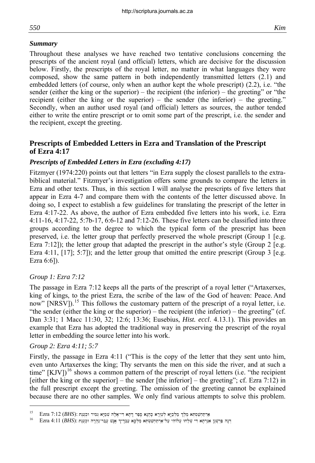#### *Summary*

Throughout these analyses we have reached two tentative conclusions concerning the prescripts of the ancient royal (and official) letters, which are decisive for the discussion below. Firstly, the prescripts of the royal letter, no matter in what languages they were composed, show the same pattern in both independently transmitted letters (2.1) and embedded letters (of course, only when an author kept the whole prescript) (2.2), i.e. "the sender (either the king or the superior) – the recipient (the inferior) – the greeting" or "the recipient (either the king or the superior) – the sender (the inferior) – the greeting." Secondly, when an author used royal (and official) letters as sources, the author tended either to write the entire prescript or to omit some part of the prescript, i.e. the sender and the recipient, except the greeting.

### **Prescripts of Embedded Letters in Ezra and Translation of the Prescript of Ezra 4:17**

### *Prescripts of Embedded Letters in Ezra (excluding 4:17)*

Fitzmyer (1974:220) points out that letters "in Ezra supply the closest parallels to the extrabiblical material." Fitzmyer's investigation offers some grounds to compare the letters in Ezra and other texts. Thus, in this section I will analyse the prescripts of five letters that appear in Ezra 4-7 and compare them with the contents of the letter discussed above. In doing so, I expect to establish a few guidelines for translating the prescript of the letter in Ezra 4:17-22. As above, the author of Ezra embedded five letters into his work, i.e. Ezra 4:11-16, 4:17-22, 5:7b-17, 6:6-12 and 7:12-26. These five letters can be classified into three groups according to the degree to which the typical form of the prescript has been preserved, i.e. the letter group that perfectly preserved the whole prescript (Group 1 [e.g. Ezra 7:12]); the letter group that adapted the prescript in the author's style (Group 2 [e.g. Ezra 4:11,  $[17]$ ; 5:7]); and the letter group that omitted the entire prescript (Group 3 [e.g. Ezra 6:6]).

### *Group 1: Ezra 7:12*

The passage in Ezra 7:12 keeps all the parts of the prescript of a royal letter ("Artaxerxes, king of kings, to the priest Ezra, the scribe of the law of the God of heaven: Peace. And now" [NRSV]).<sup>[15](#page-6-0)</sup> This follows the customary pattern of the prescript of a royal letter, i.e. "the sender (either the king or the superior) – the recipient (the inferior) – the greeting" (cf. Dan 3:31; 1 Macc 11:30, 32; 12:6; 13:36; Eusebius, *Hist. eccl*. 4.13.1). This provides an example that Ezra has adopted the traditional way in preserving the prescript of the royal letter in embedding the source letter into his work.

### *Group 2: Ezra 4:11; 5:7*

-

Firstly, the passage in Ezra 4:11 ("This is the copy of the letter that they sent unto him, even unto Artaxerxes the king; Thy servants the men on this side the river, and at such a time"  $[KJV]$ <sup>[16](#page-6-1)</sup> shows a common pattern of the prescript of royal letters (i.e. "the recipient [either the king or the superior] – the sender [the inferior] – the greeting"; cf. Ezra 7:12) in the full prescript except the greeting. The omission of the greeting cannot be explained because there are no other samples. We only find various attempts to solve this problem.

<span id="page-6-0"></span>וקר מלחשקת המלך מלכי לשור א קבוא ספר דתא די־אלה שמיא ומיר וקענת (*BHS*): במסתמט המלך המודר ברווח ב-15<br>אורחט בי שלחי שלחי של שריכם שמישה מלכי שביר שמי שרד הרווח ו-11 (BHS)

<span id="page-6-1"></span>Fzra 4:11 (*BHS*): דְּנָה עַרְוּבְרָה אֲנָשׁ עֲבָר־וְךָ אֲנָשׁ עֲבָר־נְהֲרָה וּכְעֵנָת (*BHS*): דְּנָה אֲנֹשׁ א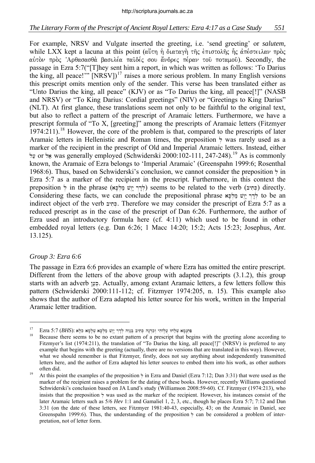### *The Literary Form of the Prescript of Ancient Royal Letters: Ezra 4:17 as a Case Study 551*

For example, NRSV and Vulgate inserted the greeting, i.e. 'send greeting' or *salutem,* while LXX kept a lacuna at this point (αύτη ή διαταγή της έπιστολης ής απέστειλαν προς αύτον προς 'Αρθασασθά βασιλέα παϊδές σου άνδρες πέραν του ποταμου). Secondly, the passage in Ezra 5:7("[T]hey sent him a report, in which was written as follows: 'To Darius the king, all peace!"  $[NRSV]$ <sup>[17](#page-7-0)</sup> raises a more serious problem. In many English versions this prescript omits mention only of the sender. This verse has been translated either as "Unto Darius the king, all peace" (KJV) or as "To Darius the king, all peace[!]" (NASB and NRSV) or "To King Darius: Cordial greetings" (NIV) or "Greetings to King Darius" (NLT). At first glance, these translations seem not only to be faithful to the original text, but also to reflect a pattern of the prescript of Aramaic letters. Furthermore, we have a prescript formula of "To X, [greeting]" among the prescripts of Aramaic letters (Fitzmyer  $1974:211$ .<sup>[18](#page-7-1)</sup> However, the core of the problem is that, compared to the prescripts of later Aramaic letters in Hellenistic and Roman times, the preposition  $\frac{1}{2}$  was rarely used as a marker of the recipient in the prescript of Old and Imperial Aramaic letters. Instead, either or by was generally employed (Schwiderski 2000:102-111, 247-248).<sup>[19](#page-7-2)</sup> As is commonly known, the Aramaic of Ezra belongs to 'Imperial Aramaic' (Greenspahn 1999:6; Rosenthal 1968:6). Thus, based on Schwiderski's conclusion, we cannot consider the preposition  $\frac{1}{2}$  in Ezra 5:7 as a marker of the recipient in the prescript. Furthermore, in this context the preposition  $\frac{1}{r}$  in the phrase (לְרַךְ יָוֹשׁ מַלְכָּא) seems to be related to the verb (בְּתִיב) directly. Considering these facts, we can conclude the prepositional phrase shape  $\forall r$  to be an indirect object of the verb בחיב. Therefore we may consider the prescript of Ezra 5:7 as a reduced prescript as in the case of the prescript of Dan 6:26. Furthermore, the author of Ezra used an introductory formula here  $(cf. 4:11)$  which used to be found in other embedded royal letters (e.g. Dan 6:26; 1 Macc 14:20; 15:2; Acts 15:23; Josephus, *Ant*. 13.125).

#### *Group 3: Ezra 6:6*

-

The passage in Ezra 6:6 provides an example of where Ezra has omitted the entire prescript. Different from the letters of the above group with adapted prescripts (3.1.2), this group starts with an adverb בָּעֵן. Actually, among extant Aramaic letters, a few letters follow this pattern (Schwiderski 2000:111-112; cf. Fitzmyer 1974:205, n. 15). This example also shows that the author of Ezra adapted his letter source for his work, written in the Imperial Aramaic letter tradition.

<span id="page-7-1"></span><span id="page-7-0"></span>י הַעֲלוֹהִי וַּבְּדָה הָּחִיב בְּנֵהּ לְדָךְ יָיֵשׁ מַלְכָּא שְלָמָא כֹלָא (*BHS*): הַא שִׁלְמָא בִלְא שִׁלְמָא בִל<br><sup>18</sup> Because there seems to be no extant pattern of a prescript that begins with the greeting alone acc Fitzmyer's list (1974:211), the translation of "To Darius the king, all peace[!]" (NRSV) is preferred to any example that begins with the greeting (actually, there are no versions that are translated in this way). However, what we should remember is that Fitzmyer, firstly, does not say anything about independently transmitted letters here, and the author of Ezra adapted his letter sources to embed them into his work, as other authors often did.<br><sup>19</sup> At this point the examples of the preposition  $\frac{1}{2}$  in Ezra and Daniel (Ezra 7:12; Dan 3:31) that were used as the

<span id="page-7-2"></span>marker of the recipient raises a problem for the dating of these books. However, recently Williams questioned Schwiderski's conclusion based on JA Lund's study (Williamson 2008:59-60). Cf. Fitzmyer (1974:213), who insists that the preposition  $\frac{1}{2}$  was used as the marker of the recipient. However, his instances consist of the later Aramaic letters such as 5/6 *Hev* 1:1 and Gamaliel 1, 2, 3, etc., though he places Ezra 5:7; 7:12 and Dan 3:31 (on the date of these letters, see Fitzmyer 1981:40-43, especially, 43; on the Aramaic in Daniel, see Greenspahn 1999:6). Thus, the understanding of the preposition  $\frac{1}{2}$  can be considered a problem of interpretation, not of letter form.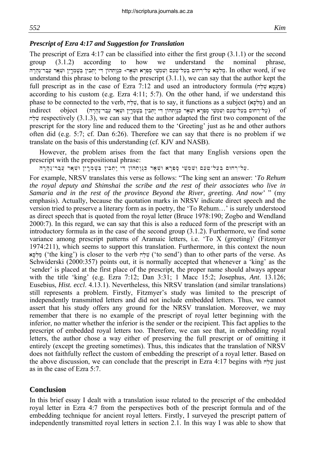#### *Prescript of Ezra 4:17 and Suggestion for Translation*

The prescript of Ezra 4:17 can be classified into either the first group (3.1.1) or the second group (3.1.2) according to how we understand the nominal phrase, h other word, if we. מַלִּכָּא עַל־רְחוּם בִּעֲל־טָעֵם וְשָׁמְשִׁי סָפְרָא וּשָׁאֵר> בְּנֵהְהוֹן דִּי יַחְבִין בְּשָׁמְרֵין וּשָׁאֵר עֲבַר־נַהֲרָה. In other word, if we understand this phrase to belong to the prescript (3.1.1), we can say that the author kept the full prescript as in the case of Ezra 7:12 and used an introductory formula ( $\neg$ הונמא ( $\neg$ according to his custom (e.g. Ezra  $4:11$ ; 5:7). On the other hand, if we understand this phase to be connected to the verb,  $\pi \frac{1}{2}$ , that is to say, it functions as a subject (ax $\frac{1}{2}$ .) and an וּעַל־רְחוּם בִּעֲל־שַעֶם וְשָׁמִשִׁי סָפָּרָא וּשָׁאָר כְּנֵוָתְהוֹן דִי יָתִבְין בִּשָּׁמְרֵין וּשָׁאָר עַבַר־נַהֲרָה) of rightly respectively  $(3.1.3)$ , we can say that the author adapted the first two component of the prescript for the story line and reduced them to the 'Greeting' just as he and other authors often did (e.g. 5:7; cf. Dan 6:26). Therefore we can say that there is no problem if we translate on the basis of this understanding (cf. KJV and NASB).

However, the problem arises from the fact that many English versions open the prescript with the prepositional phrase:

.עַל־רְחוּם בִּעֵל־טִעֵם וִשִּׁמְשֵׁי סָפְרָא וּשָׁאָר כְּנָוְתְהוֹן דִּי יָתְבִין בְּשֶׁמְרֶיִן וּשָׁאָר עֲבַר־נַהֲרָה.

For example, NRSV translates this verse as follows: "The king sent an answer: '*To Rehum the royal deputy and Shimshai the scribe and the rest of their associates who live in Samaria and in the rest of the province Beyond the River, greeting. And now'* " (my emphasis). Actually, because the quotation marks in NRSV indicate direct speech and the version tried to preserve a literary form as in poetry, the 'To Rehum…' is surely understood as direct speech that is quoted from the royal letter (Bruce 1978:190; Zogbo and Wendland 2000:7). In this regard, we can say that this is also a reduced form of the prescript with an introductory formula as in the case of the second group (3.1.2). Furthermore, we find some variance among prescript patterns of Aramaic letters, i.e. 'To X (greeting)' (Fitzmyer 1974:211), which seems to support this translation. Furthermore, in this context the noun aK'l.m; ('the king') is closer to the verb xl;v. ('to send') than to other parts of the verse. As Schwiderski (2000:357) points out, it is normally accepted that whenever a 'king' as the 'sender' is placed at the first place of the prescript, the proper name should always appear with the title 'king' (e.g. Ezra 7:12; Dan 3:31; 1 Macc 15:2; Josephus, *Ant*. 13.126; Eusebius, *Hist. eccl*. 4.13.1). Nevertheless, this NRSV translation (and similar translations) still represents a problem. Firstly, Fitzmyer's study was limited to the prescript of independently transmitted letters and did not include embedded letters. Thus, we cannot assert that his study offers any ground for the NRSV translation. Moreover, we may remember that there is no example of the prescript of royal letter beginning with the inferior, no matter whether the inferior is the sender or the recipient. This fact applies to the prescript of embedded royal letters too. Therefore, we can see that, in embedding royal letters, the author chose a way either of preserving the full prescript or of omitting it entirely (except the greeting sometimes). Thus, this indicates that the translation of NRSV does not faithfully reflect the custom of embedding the prescript of a royal letter. Based on the above discussion, we can conclude that the prescript in Ezra 4:17 begins with  $\pi^i$ igust as in the case of Ezra 5:7.

### **Conclusion**

In this brief essay I dealt with a translation issue related to the prescript of the embedded royal letter in Ezra 4:7 from the perspectives both of the prescript formula and of the embedding technique for ancient royal letters. Firstly, I surveyed the prescript pattern of independently transmitted royal letters in section 2.1. In this way I was able to show that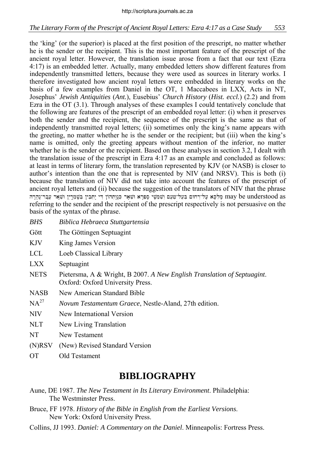the 'king' (or the superior) is placed at the first position of the prescript, no matter whether he is the sender or the recipient. This is the most important feature of the prescript of the ancient royal letter. However, the translation issue arose from a fact that our text (Ezra 4:17) is an embedded letter. Actually, many embedded letters show different features from independently transmitted letters, because they were used as sources in literary works. I therefore investigated how ancient royal letters were embedded in literary works on the basis of a few examples from Daniel in the OT, 1 Maccabees in LXX, Acts in NT, Josephus' *Jewish Antiquities* (*Ant.*), Eusebius' *Church History* (*Hist. eccl.*) (2.2) and from Ezra in the OT (3.1). Through analyses of these examples I could tentatively conclude that the following are features of the prescript of an embedded royal letter: (i) when it preserves both the sender and the recipient, the sequence of the prescript is the same as that of independently transmitted royal letters; (ii) sometimes only the king's name appears with the greeting, no matter whether he is the sender or the recipient; but (iii) when the king's name is omitted, only the greeting appears without mention of the inferior, no matter whether he is the sender or the recipient. Based on these analyses in section 3.2, I dealt with the translation issue of the prescript in Ezra 4:17 as an example and concluded as follows: at least in terms of literary form, the translation represented by KJV (or NASB) is closer to author's intention than the one that is represented by NIV (and NRSV). This is both (i) because the translation of NIV did not take into account the features of the prescript of ancient royal letters and (ii) because the suggestion of the translators of NIV that the phrase חון די יַתְבִין בִּשְׁמְרֵין וּשָׁאֵר עֲבַר־יַהֲרֵה מִעֲל-שְׁעֵם וְשָׁמְשִׁי סָפְרָא וּשָׁאַר בְּוַנְתְהוֹן ד referring to the sender and the recipient of the prescript respectively is not persuasive on the basis of the syntax of the phrase.

- *BHS Biblica Hebraeca Stuttgartensia*
- Gött The Göttingen Septuagint
- KJV King James Version
- LCL Loeb Classical Library
- LXX Septuagint
- NETS Pietersma, A & Wright, B 2007. *A New English Translation of Septuagint*. Oxford: Oxford University Press.
- NASB New American Standard Bible
- NA<sup>27</sup> *Novum Testamentum Graece*, Nestle-Aland, 27th edition.
- NIV New International Version
- NLT New Living Translation
- NT New Testament
- (N)RSV (New) Revised Standard Version
- OT Old Testament

## **BIBLIOGRAPHY**

- Aune, DE 1987. *The New Testament in Its Literary Environment*. Philadelphia: The Westminster Press.
- Bruce, FF 1978. *History of the Bible in English from the Earliest Versions*. New York: Oxford University Press.
- Collins, JJ 1993. *Daniel: A Commentary on the Daniel*. Minneapolis: Fortress Press.